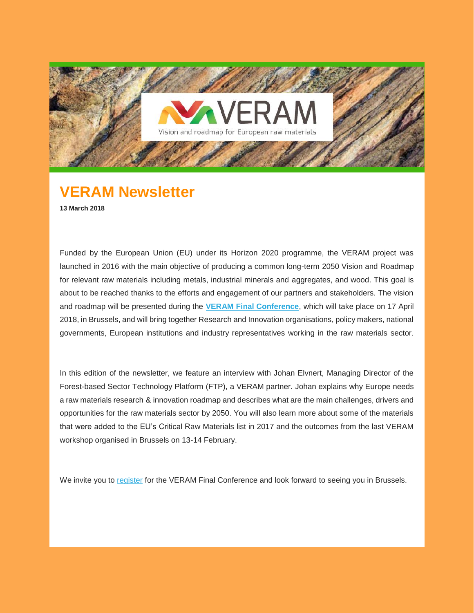

# **VERAM Newsletter**

**13 March 2018**

Funded by the European Union (EU) under its Horizon 2020 programme, the VERAM project was launched in 2016 with the main objective of producing a common long-term 2050 Vision and Roadmap for relevant raw materials including metals, industrial minerals and aggregates, and wood. This goal is about to be reached thanks to the efforts and engagement of our partners and stakeholders. The vision and roadmap will be presented during the **[VERAM Final Conference](http://veram2050.eu/register-now-to-the-veram-final-conference-eu-raw-materials-2050-roadmap-to-success/)**, which will take place on 17 April 2018, in Brussels, and will bring together Research and Innovation organisations, policy makers, national governments, European institutions and industry representatives working in the raw materials sector.

In this edition of the newsletter, we feature an interview with Johan Elvnert, Managing Director of the Forest-based Sector Technology Platform (FTP), a VERAM partner. Johan explains why Europe needs a raw materials research & innovation roadmap and describes what are the main challenges, drivers and opportunities for the raw materials sector by 2050. You will also learn more about some of the materials that were added to the EU's Critical Raw Materials list in 2017 and the outcomes from the last VERAM workshop organised in Brussels on 13-14 February.

We invite you to [register](http://veram2050.eu/register-now-to-the-veram-final-conference-eu-raw-materials-2050-roadmap-to-success/) for the VERAM Final Conference and look forward to seeing you in Brussels.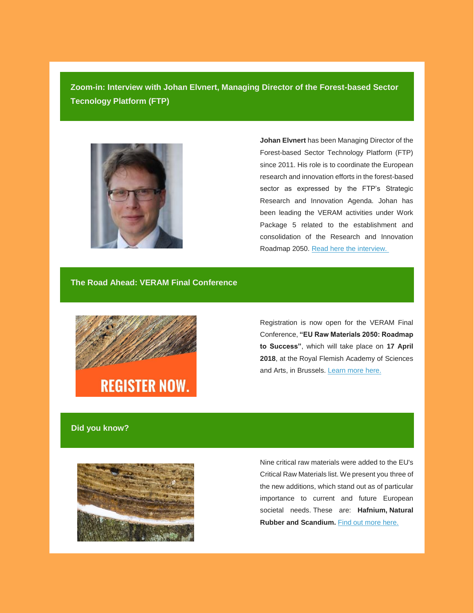**Zoom-in: Interview with Johan Elvnert, Managing Director of the Forest-based Sector Tecnology Platform (FTP)**



**Johan Elvnert** has been Managing Director of the Forest-based Sector Technology Platform (FTP) since 2011. His role is to coordinate the European research and innovation efforts in the forest-based sector as expressed by the FTP's Strategic Research and Innovation Agenda. Johan has been leading the VERAM activities under Work Package 5 related to the establishment and consolidation of the Research and Innovation Roadmap 2050. [Read here the interview.](https://veram2050.us17.list-manage.com/track/click?u=84c875cacc581bdf536096674&id=057f923f9d&e=3faef31188)

### **The Road Ahead: VERAM Final Conference**



Registration is now open for the VERAM Final Conference, **"EU Raw Materials 2050: Roadmap to Success"**, which will take place on **17 April 2018**, at the Royal Flemish Academy of Sciences and Arts, in Brussels. [Learn more](https://veram2050.us17.list-manage.com/track/click?u=84c875cacc581bdf536096674&id=bcbb88028e&e=3faef31188) here.

#### **Did you know?**



Nine critical raw materials were added to the EU's Critical Raw Materials list. We present you three of the new additions, which stand out as of particular importance to current and future European societal needs. These are: **Hafnium, Natural Rubber and Scandium.** [Find out more here.](https://veram2050.us17.list-manage.com/track/click?u=84c875cacc581bdf536096674&id=b5e2ec35da&e=3faef31188)